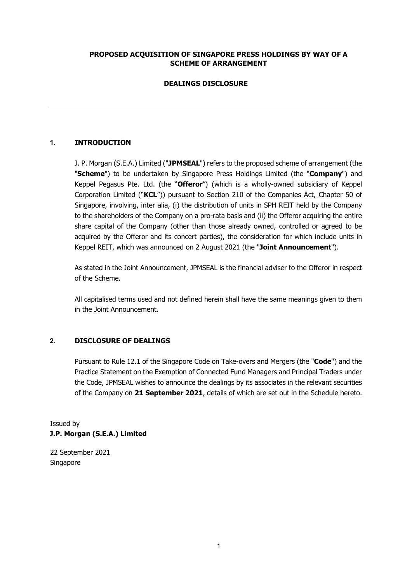# **PROPOSED ACQUISITION OF SINGAPORE PRESS HOLDINGS BY WAY OF A SCHEME OF ARRANGEMENT**

# **DEALINGS DISCLOSURE**

# **1. INTRODUCTION**

J. P. Morgan (S.E.A.) Limited ("**JPMSEAL**") refers to the proposed scheme of arrangement (the "**Scheme**") to be undertaken by Singapore Press Holdings Limited (the "**Company**") and Keppel Pegasus Pte. Ltd. (the "**Offeror**") (which is a wholly-owned subsidiary of Keppel Corporation Limited ("**KCL**")) pursuant to Section 210 of the Companies Act, Chapter 50 of Singapore, involving, inter alia, (i) the distribution of units in SPH REIT held by the Company to the shareholders of the Company on a pro-rata basis and (ii) the Offeror acquiring the entire share capital of the Company (other than those already owned, controlled or agreed to be acquired by the Offeror and its concert parties), the consideration for which include units in Keppel REIT, which was announced on 2 August 2021 (the "**Joint Announcement**").

As stated in the Joint Announcement, JPMSEAL is the financial adviser to the Offeror in respect of the Scheme.

All capitalised terms used and not defined herein shall have the same meanings given to them in the Joint Announcement.

### **2. DISCLOSURE OF DEALINGS**

Pursuant to Rule 12.1 of the Singapore Code on Take-overs and Mergers (the "**Code**") and the Practice Statement on the Exemption of Connected Fund Managers and Principal Traders under the Code, JPMSEAL wishes to announce the dealings by its associates in the relevant securities of the Company on **21 September 2021**, details of which are set out in the Schedule hereto.

Issued by **J.P. Morgan (S.E.A.) Limited** 

22 September 2021 Singapore